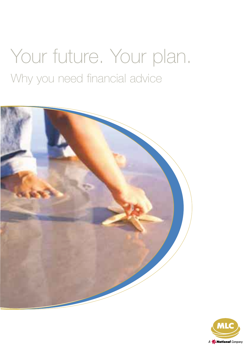# Your future. Your plan. Why you need financial advice



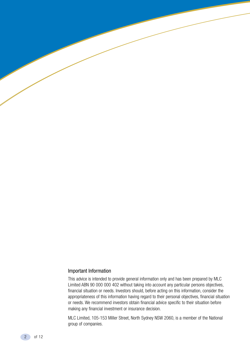#### Important Information

This advice is intended to provide general information only and has been prepared by MLC Limited ABN 90 000 000 402 without taking into account any particular persons objectives, financial situation or needs. Investors should, before acting on this information, consider the appropriateness of this information having regard to their personal objectives, financial situation or needs. We recommend investors obtain financial advice specific to their situation before making any financial investment or insurance decision.

MLC Limited, 105-153 Miller Street, North Sydney NSW 2060, is a member of the National group of companies.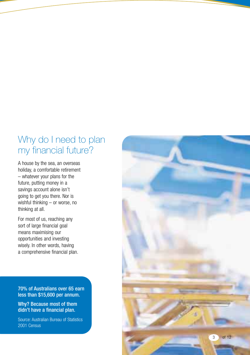### Why do I need to plan my financial future?

A house by the sea, an overseas holiday, a comfortable retirement – whatever your plans for the future, putting money in a savings account alone isn't going to get you there. Nor is wishful thinking – or worse, no thinking at all.

For most of us, reaching any sort of large financial goal means maximising our opportunities and investing wisely. In other words, having a comprehensive financial plan.

70% of Australians over 65 earn less than \$15,600 per annum.

Why? Because most of them didn't have a financial plan.

Source: Australian Bureau of Statistics 2001 Census

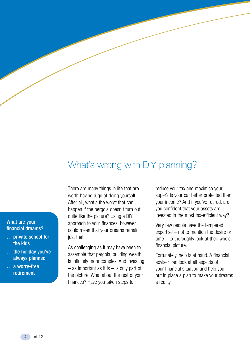## What's wrong with DIY planning?

#### What are your financial dreams?

- … private school for the kids
- … the holiday you've always planned
- … a worry-free retirement

There are many things in life that are worth having a go at doing yourself. After all, what's the worst that can happen if the pergola doesn't turn out quite like the picture? Using a DIY approach to your finances, however, could mean that your dreams remain just that.

As challenging as it may have been to assemble that pergola, building wealth is infinitely more complex. And investing – as important as it is – is only part of the picture. What about the rest of your finances? Have you taken steps to

reduce your tax and maximise your super? Is your car better protected than your income? And if you've retired, are you confident that your assets are invested in the most tax-efficient way?

Very few people have the tempered expertise – not to mention the desire or time – to thoroughly look at their whole financial picture.

Fortunately, help is at hand. A financial adviser can look at all aspects of your financial situation and help you put in place a plan to make your dreams a reality.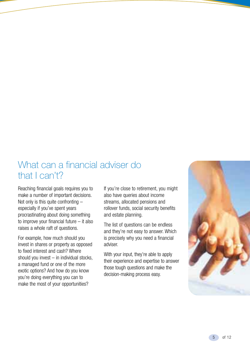### What can a financial adviser do that I can't?

Reaching financial goals requires you to make a number of important decisions. Not only is this quite confronting – especially if you've spent years procrastinating about doing something to improve your financial future – it also raises a whole raft of questions.

For example, how much should you invest in shares or property as opposed to fixed interest and cash? Where should you invest – in individual stocks, a managed fund or one of the more exotic options? And how do you know you're doing everything you can to make the most of your opportunities?

If you're close to retirement, you might also have queries about income streams, allocated pensions and rollover funds, social security benefits and estate planning.

The list of questions can be endless and they're not easy to answer. Which is precisely why you need a financial adviser.

With your input, they're able to apply their experience and expertise to answer those tough questions and make the decision-making process easy.

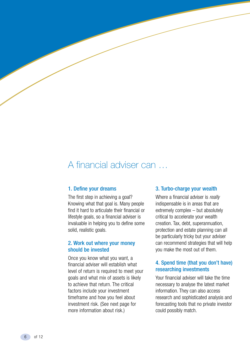### A financial adviser can …

#### 1. Define your dreams

The first step in achieving a goal? Knowing what that goal is. Many people find it hard to articulate their financial or lifestyle goals, so a financial adviser is invaluable in helping you to define some solid, realistic goals.

#### 2. Work out where your money should be invested

Once you know what you want, a financial adviser will establish what level of return is required to meet your goals and what mix of assets is likely to achieve that return. The critical factors include your investment timeframe and how you feel about investment risk. (See next page for more information about risk.)

#### 3. Turbo-charge your wealth

Where a financial adviser is *really* indispensable is in areas that are extremely complex – but absolutely critical to accelerate your wealth creation. Tax, debt, superannuation, protection and estate planning can all be particularly tricky but your adviser can recommend strategies that will help you make the most out of them.

#### 4. Spend time (that you don't have) researching investments

Your financial adviser will take the time necessary to analyse the latest market information. They can also access research and sophisticated analysis and forecasting tools that no private investor could possibly match.

6 of 12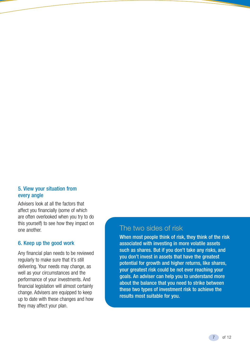#### 5. View your situation from every angle

Advisers look at all the factors that affect you financially (some of which are often overlooked when you try to do this yourself) to see how they impact on one another.

#### 6. Keep up the good work

Any financial plan needs to be reviewed regularly to make sure that it's still delivering. Your needs may change, as well as your circumstances and the performance of your investments. And financial legislation will almost certainly change. Advisers are equipped to keep up to date with these changes and how they may affect your plan.

### The two sides of risk

When most people think of risk, they think of the risk associated with investing in more volatile assets such as shares. But if you don't take any risks, and you don't invest in assets that have the greatest potential for growth and higher returns, like shares, your greatest risk could be not ever reaching your goals. An adviser can help you to understand more about the balance that you need to strike between these two types of investment risk to achieve the results most suitable for you.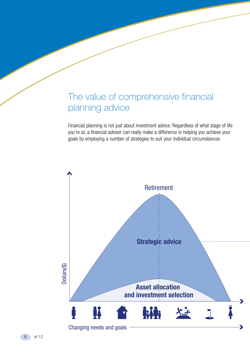### The value of comprehensive financial planning advice

Financial planning is not just about investment advice. Regardless of what stage of life you're at, a financial adviser can really make a difference in helping you achieve your goals by employing a number of strategies to suit your individual circumstances.

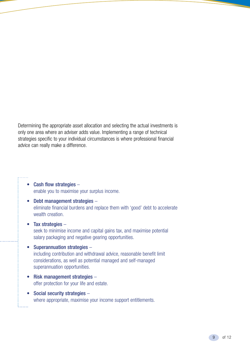Determining the appropriate asset allocation and selecting the actual investments is only one area where an adviser adds value. Implementing a range of technical strategies specific to your individual circumstances is where professional financial advice can really make a difference.

- Cash flow strategies enable you to maximise your surplus income.
- Debt management strategies eliminate financial burdens and replace them with 'good' debt to accelerate wealth creation.
- Tax strategies seek to minimise income and capital gains tax, and maximise potential salary packaging and negative gearing opportunities.
- Superannuation strategies including contribution and withdrawal advice, reasonable benefit limit considerations, as well as potential managed and self-managed superannuation opportunities.
- Risk management strategies offer protection for your life and estate.
- Social security strategies where appropriate, maximise your income support entitlements.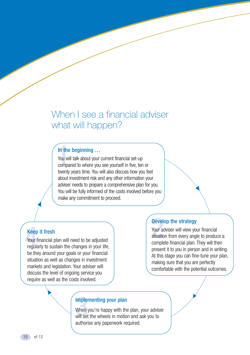### When I see a financial adviser what will happen?

#### In the beginning …

In the beginning ...<br>
You will talk about your current financial set-up<br>
compared to where you see yourself in five, ten or You will talk about your current financial set-up twenty years time. You will also discuss how you feel about investment risk and any other information your adviser needs to prepare a comprehensive plan for you. You will be fully informed of the costs involved before you make any commitment to proceed.

#### Keep it fresh

**Keep**<br>Your f<br>regula Your financial plan will need to be adjusted regularly to sustain the changes in your life, be they around your goals or your financial situation as well as changes in investment markets and legislation. Your adviser will discuss the level of ongoing service you require as well as the costs involved.

**Develop the strategy**<br>Your adviser will view yo<br>situation from every ang<br>complete financial alon. Your adviser will view your financial situation from every angle to produce a complete financial plan. They will then present it to you in person and in writing. At this stage you can fine-tune your plan, making sure that you are perfectly comfortable with the potential outcomes.

**Implementing your plan**<br>When you're happy with the<br>will set the wheels in motio When you're happy with the plan, your adviser will set the wheels in motion and ask you to authorise any paperwork required.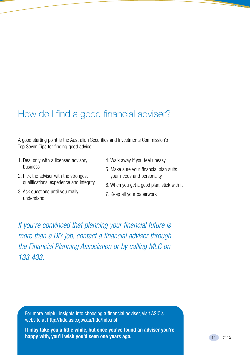# How do I find a good financial adviser?

A good starting point is the Australian Securities and Investments Commission's Top Seven Tips for finding good advice:

- 1. Deal only with a licensed advisory business
- 2. Pick the adviser with the strongest qualifications, experience and integrity
- 3. Ask questions until you really understand
- 4. Walk away if you feel uneasy
- 5. Make sure your financial plan suits your needs and personality
- 6. When you get a good plan, stick with it
- 7. Keep all your paperwork

*If you're convinced that planning your financial future is more than a DIY job, contact a financial adviser through the Financial Planning Association or by calling MLC on 133 433.*

For more helpful insights into choosing a financial adviser, visit ASIC's website at http://fido.asic.gov.au/fido/fido.nsf

**It may take you a little while, but once you've found an adviser you're happy with, you'll wish you'd seen one years ago.**